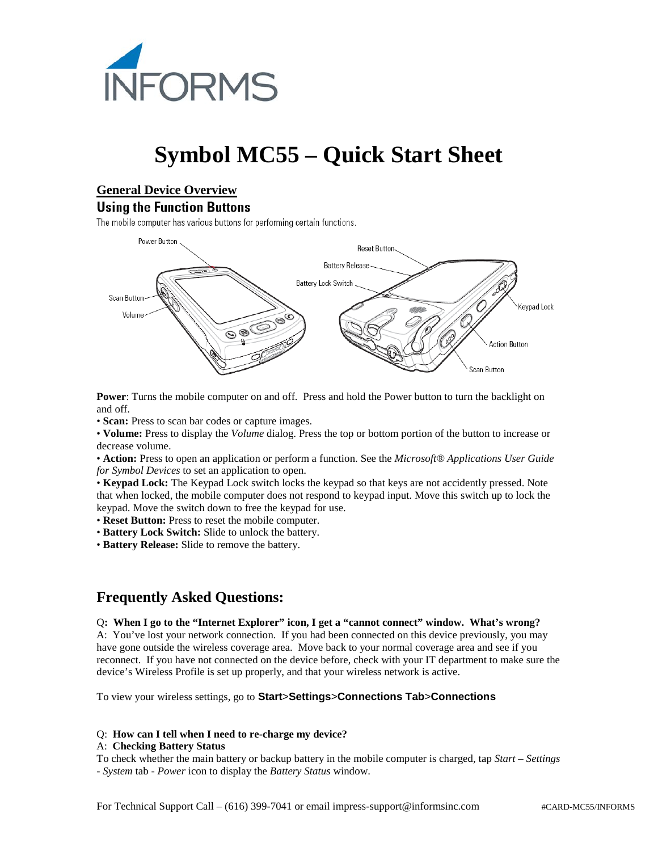

# **Symbol MC55 – Quick Start Sheet**

## **General Device Overview**

#### **Using the Function Buttons**

The mobile computer has various buttons for performing certain functions.



**Power**: Turns the mobile computer on and off. Press and hold the Power button to turn the backlight on and off.

• **Scan:** Press to scan bar codes or capture images.

• **Volume:** Press to display the *Volume* dialog. Press the top or bottom portion of the button to increase or decrease volume.

• **Action:** Press to open an application or perform a function. See the *Microsoft® Applications User Guide for Symbol Devices* to set an application to open.

• **Keypad Lock:** The Keypad Lock switch locks the keypad so that keys are not accidently pressed. Note that when locked, the mobile computer does not respond to keypad input. Move this switch up to lock the keypad. Move the switch down to free the keypad for use.

• **Reset Button:** Press to reset the mobile computer.

• **Battery Lock Switch:** Slide to unlock the battery.

• **Battery Release:** Slide to remove the battery.

# **Frequently Asked Questions:**

Q**: When I go to the "Internet Explorer" icon, I get a "cannot connect" window. What's wrong?**

A: You've lost your network connection. If you had been connected on this device previously, you may have gone outside the wireless coverage area. Move back to your normal coverage area and see if you reconnect. If you have not connected on the device before, check with your IT department to make sure the device's Wireless Profile is set up properly, and that your wireless network is active.

To view your wireless settings, go to **Start**>**Settings**>**Connections Tab**>**Connections**

#### Q: **How can I tell when I need to re-charge my device?**

#### A: **Checking Battery Status**

To check whether the main battery or backup battery in the mobile computer is charged, tap *Start* – *Settings* - *System* tab - *Power* icon to display the *Battery Status* window.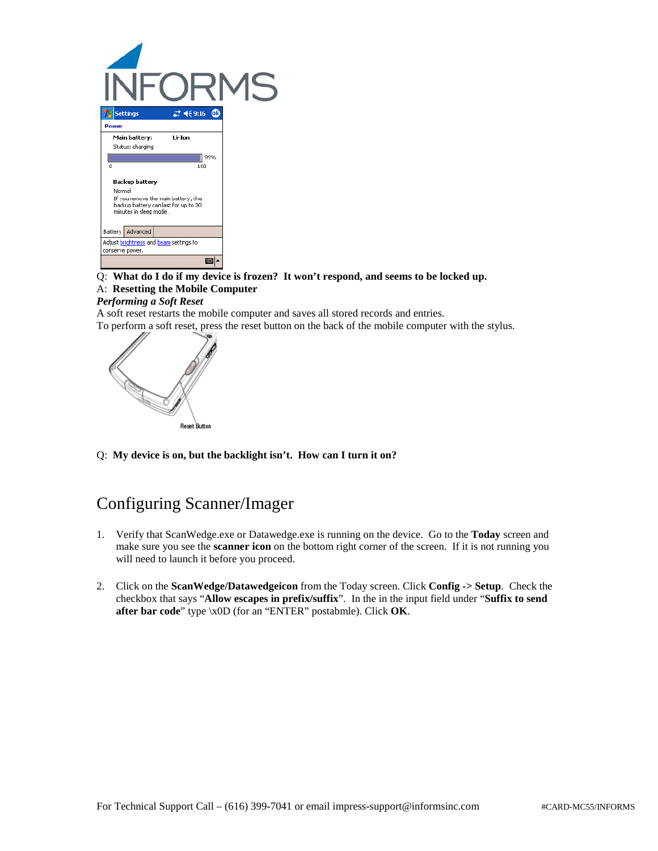

#### Q: **What do I do if my device is frozen? It won't respond, and seems to be locked up.** A: **Resetting the Mobile Computer**

#### *Performing a Soft Reset*

A soft reset restarts the mobile computer and saves all stored records and entries.

To perform a soft reset, press the reset button on the back of the mobile computer with the stylus.



Q: **My device is on, but the backlight isn't. How can I turn it on?**

# Configuring Scanner/Imager

- 1. Verify that ScanWedge.exe or Datawedge.exe is running on the device. Go to the **Today** screen and make sure you see the **scanner icon** on the bottom right corner of the screen. If it is not running you will need to launch it before you proceed.
- 2. Click on the **ScanWedge/Datawedgeicon** from the Today screen. Click **Config -> Setup**. Check the checkbox that says "**Allow escapes in prefix/suffix**". In the in the input field under "**Suffix to send after bar code**" type \x0D (for an "ENTER" postabmle). Click **OK**.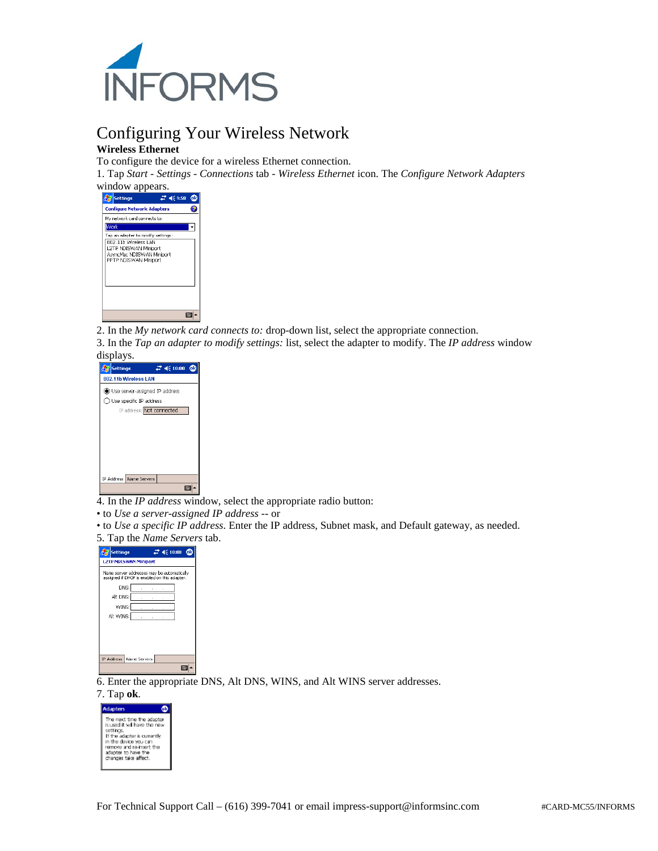

## Configuring Your Wireless Network **Wireless Ethernet**

To configure the device for a wireless Ethernet connection.

1. Tap *Start - Settings* - *Connections* tab - *Wireless Ethernet* icon. The *Configure Network Adapters* 

window appears.

| . .                                          |               |
|----------------------------------------------|---------------|
| <b>Settings</b>                              | $27 - 669.58$ |
| <b>Configure Network Adapters</b>            |               |
| My network card connects to:                 |               |
| Work                                         |               |
| Tap an edapter to modify settings:           |               |
| 802 11h Wreless LAN<br>L2TP NDISWAN Miniport |               |
| AsyncMac NDISWAN Miniport                    |               |
| PPTP NDJSWAN Miniport                        |               |
|                                              |               |
|                                              |               |
|                                              |               |
|                                              |               |
|                                              |               |
|                                              |               |
|                                              |               |

2. In the *My network card connects to:* drop-down list, select the appropriate connection.

3. In the *Tap an adapter to modify settings:* list, select the adapter to modify. The *IP address* window



4. In the *IP address* window, select the appropriate radio button:

- to *Use a server-assigned IP address --* or
- to *Use a specific IP address*. Enter the IP address, Subnet mask, and Default gateway, as needed. 5. Tap the *Name Servers* tab.



6. Enter the appropriate DNS, Alt DNS, WINS, and Alt WINS server addresses.

#### 7. Tap **ok**.